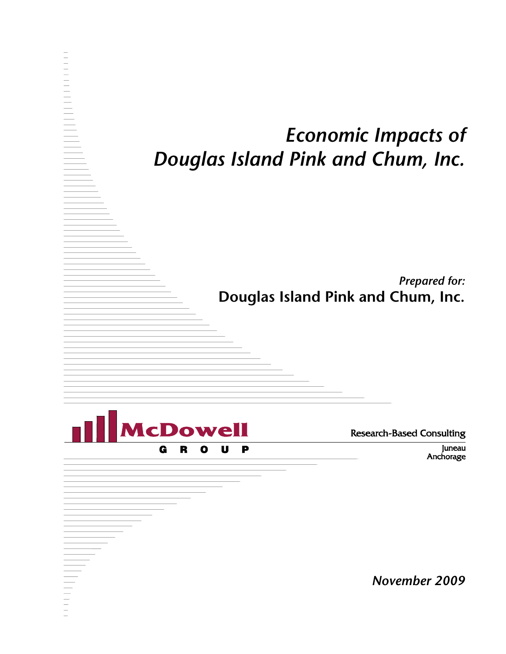# *Economic Impacts of Douglas Island Pink and Chum, Inc.*

*Prepared for:* **Douglas Island Pink and Chum, Inc.**



**Research-Based Consulting** 

Juneau Anchorage

*November 2009*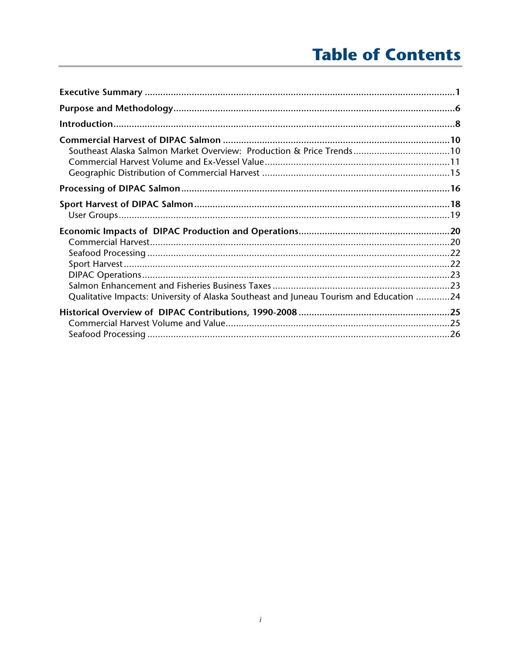# **Table of Contents**

| Southeast Alaska Salmon Market Overview: Production & Price Trends10                    |  |
|-----------------------------------------------------------------------------------------|--|
|                                                                                         |  |
|                                                                                         |  |
| Qualitative Impacts: University of Alaska Southeast and Juneau Tourism and Education 24 |  |
|                                                                                         |  |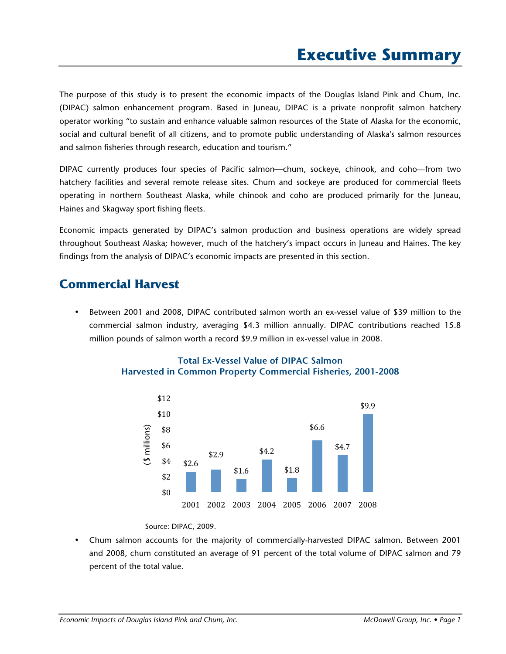The purpose of this study is to present the economic impacts of the Douglas Island Pink and Chum, Inc. (DIPAC) salmon enhancement program. Based in Juneau, DIPAC is a private nonprofit salmon hatchery operator working "to sustain and enhance valuable salmon resources of the State of Alaska for the economic, social and cultural benefit of all citizens, and to promote public understanding of Alaska's salmon resources and salmon fisheries through research, education and tourism."

DIPAC currently produces four species of Pacific salmon—chum, sockeye, chinook, and coho—from two hatchery facilities and several remote release sites. Chum and sockeye are produced for commercial fleets operating in northern Southeast Alaska, while chinook and coho are produced primarily for the Juneau, Haines and Skagway sport fishing fleets.

Economic impacts generated by DIPAC's salmon production and business operations are widely spread throughout Southeast Alaska; however, much of the hatchery's impact occurs in Juneau and Haines. The key findings from the analysis of DIPAC's economic impacts are presented in this section.

### **Commercial Harvest**

• Between 2001 and 2008, DIPAC contributed salmon worth an ex-vessel value of \$39 million to the commercial salmon industry, averaging \$4.3 million annually. DIPAC contributions reached 15.8 million pounds of salmon worth a record \$9.9 million in ex-vessel value in 2008.



#### **Total Ex-Vessel Value of DIPAC Salmon Harvested in Common Property Commercial Fisheries, 2001-2008**

Source: DIPAC, 2009.

• Chum salmon accounts for the majority of commercially-harvested DIPAC salmon. Between 2001 and 2008, chum constituted an average of 91 percent of the total volume of DIPAC salmon and 79 percent of the total value.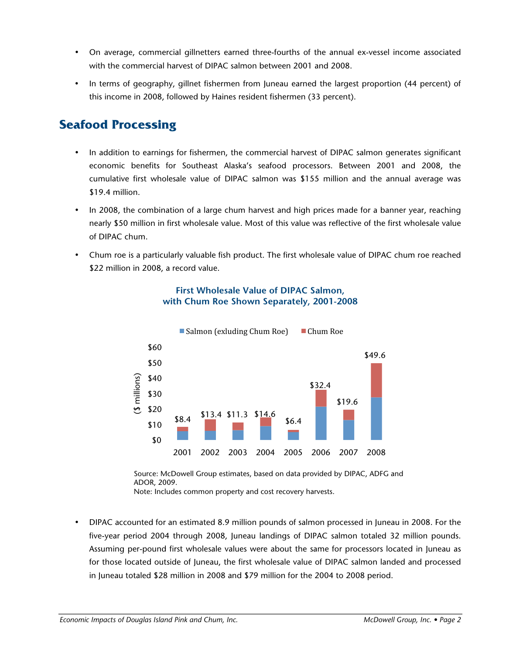- On average, commercial gillnetters earned three-fourths of the annual ex-vessel income associated with the commercial harvest of DIPAC salmon between 2001 and 2008.
- In terms of geography, gillnet fishermen from Juneau earned the largest proportion (44 percent) of this income in 2008, followed by Haines resident fishermen (33 percent).

### **Seafood Processing**

- In addition to earnings for fishermen, the commercial harvest of DIPAC salmon generates significant economic benefits for Southeast Alaska's seafood processors. Between 2001 and 2008, the cumulative first wholesale value of DIPAC salmon was \$155 million and the annual average was \$19.4 million.
- In 2008, the combination of a large chum harvest and high prices made for a banner year, reaching nearly \$50 million in first wholesale value. Most of this value was reflective of the first wholesale value of DIPAC chum.
- Chum roe is a particularly valuable fish product. The first wholesale value of DIPAC chum roe reached \$22 million in 2008, a record value.



#### **First Wholesale Value of DIPAC Salmon, with Chum Roe Shown Separately, 2001-2008**

Source: McDowell Group estimates, based on data provided by DIPAC, ADFG and ADOR, 2009.

Note: Includes common property and cost recovery harvests.

• DIPAC accounted for an estimated 8.9 million pounds of salmon processed in Juneau in 2008. For the five-year period 2004 through 2008, Juneau landings of DIPAC salmon totaled 32 million pounds. Assuming per-pound first wholesale values were about the same for processors located in Juneau as for those located outside of Juneau, the first wholesale value of DIPAC salmon landed and processed in Juneau totaled \$28 million in 2008 and \$79 million for the 2004 to 2008 period.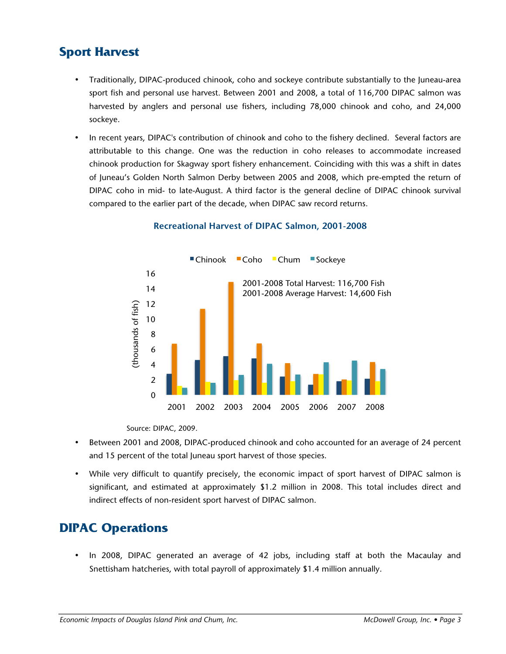### **Sport Harvest**

- Traditionally, DIPAC-produced chinook, coho and sockeye contribute substantially to the Juneau-area sport fish and personal use harvest. Between 2001 and 2008, a total of 116,700 DIPAC salmon was harvested by anglers and personal use fishers, including 78,000 chinook and coho, and 24,000 sockeye.
- In recent years, DIPAC's contribution of chinook and coho to the fishery declined. Several factors are attributable to this change. One was the reduction in coho releases to accommodate increased chinook production for Skagway sport fishery enhancement. Coinciding with this was a shift in dates of Juneau's Golden North Salmon Derby between 2005 and 2008, which pre-empted the return of DIPAC coho in mid- to late-August. A third factor is the general decline of DIPAC chinook survival compared to the earlier part of the decade, when DIPAC saw record returns.



#### **Recreational Harvest of DIPAC Salmon, 2001-2008**

Source: DIPAC, 2009.

- Between 2001 and 2008, DIPAC-produced chinook and coho accounted for an average of 24 percent and 15 percent of the total Juneau sport harvest of those species.
- While very difficult to quantify precisely, the economic impact of sport harvest of DIPAC salmon is significant, and estimated at approximately \$1.2 million in 2008. This total includes direct and indirect effects of non-resident sport harvest of DIPAC salmon.

## **DIPAC Operations**

• In 2008, DIPAC generated an average of 42 jobs, including staff at both the Macaulay and Snettisham hatcheries, with total payroll of approximately \$1.4 million annually.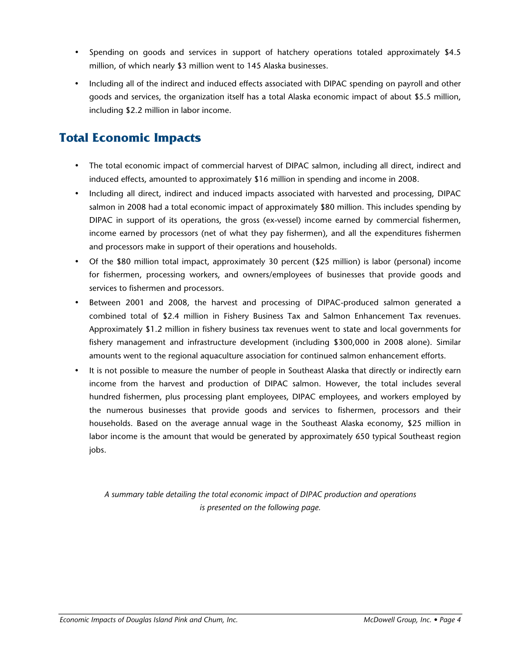- Spending on goods and services in support of hatchery operations totaled approximately \$4.5 million, of which nearly \$3 million went to 145 Alaska businesses.
- Including all of the indirect and induced effects associated with DIPAC spending on payroll and other goods and services, the organization itself has a total Alaska economic impact of about \$5.5 million, including \$2.2 million in labor income.

## **Total Economic Impacts**

- The total economic impact of commercial harvest of DIPAC salmon, including all direct, indirect and induced effects, amounted to approximately \$16 million in spending and income in 2008.
- Including all direct, indirect and induced impacts associated with harvested and processing, DIPAC salmon in 2008 had a total economic impact of approximately \$80 million. This includes spending by DIPAC in support of its operations, the gross (ex-vessel) income earned by commercial fishermen, income earned by processors (net of what they pay fishermen), and all the expenditures fishermen and processors make in support of their operations and households.
- Of the \$80 million total impact, approximately 30 percent (\$25 million) is labor (personal) income for fishermen, processing workers, and owners/employees of businesses that provide goods and services to fishermen and processors.
- Between 2001 and 2008, the harvest and processing of DIPAC-produced salmon generated a combined total of \$2.4 million in Fishery Business Tax and Salmon Enhancement Tax revenues. Approximately \$1.2 million in fishery business tax revenues went to state and local governments for fishery management and infrastructure development (including \$300,000 in 2008 alone). Similar amounts went to the regional aquaculture association for continued salmon enhancement efforts.
- It is not possible to measure the number of people in Southeast Alaska that directly or indirectly earn income from the harvest and production of DIPAC salmon. However, the total includes several hundred fishermen, plus processing plant employees, DIPAC employees, and workers employed by the numerous businesses that provide goods and services to fishermen, processors and their households. Based on the average annual wage in the Southeast Alaska economy, \$25 million in labor income is the amount that would be generated by approximately 650 typical Southeast region jobs.

*A summary table detailing the total economic impact of DIPAC production and operations is presented on the following page.*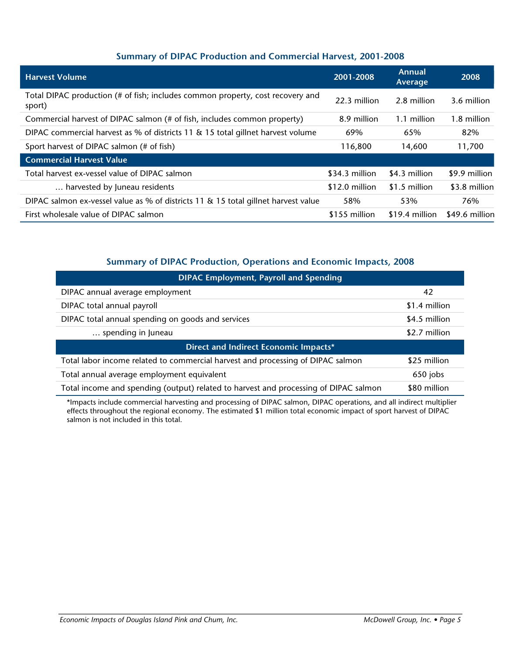### **Summary of DIPAC Production and Commercial Harvest, 2001-2008**

| <b>Harvest Volume</b>                                                                    | 2001-2008       | <b>Annual</b><br>Average | 2008           |
|------------------------------------------------------------------------------------------|-----------------|--------------------------|----------------|
| Total DIPAC production (# of fish; includes common property, cost recovery and<br>sport) | 22.3 million    | 2.8 million              | 3.6 million    |
| Commercial harvest of DIPAC salmon (# of fish, includes common property)                 | 8.9 million     | 1.1 million              | 1.8 million    |
| DIPAC commercial harvest as % of districts 11 & 15 total gillnet harvest volume          | 69%             | 65%                      | 82%            |
| Sport harvest of DIPAC salmon (# of fish)                                                | 116,800         | 14,600                   | 11,700         |
| <b>Commercial Harvest Value</b>                                                          |                 |                          |                |
| Total harvest ex-vessel value of DIPAC salmon                                            | $$34.3$ million | \$4.3 million            | \$9.9 million  |
| harvested by Juneau residents                                                            | \$12.0 million  | \$1.5 million            | \$3.8 million  |
| DIPAC salmon ex-vessel value as % of districts 11 $\&$ 15 total gillnet harvest value    | 58%             | 53%                      | 76%            |
| First wholesale value of DIPAC salmon                                                    | \$155 million   | $$19.4$ million          | \$49.6 million |

#### **Summary of DIPAC Production, Operations and Economic Impacts, 2008**

| <b>DIPAC Employment, Payroll and Spending</b>                                        |               |  |  |  |
|--------------------------------------------------------------------------------------|---------------|--|--|--|
| DIPAC annual average employment                                                      | 42            |  |  |  |
| DIPAC total annual payroll                                                           | \$1.4 million |  |  |  |
| DIPAC total annual spending on goods and services                                    | \$4.5 million |  |  |  |
| spending in Juneau                                                                   | \$2.7 million |  |  |  |
| Direct and Indirect Economic Impacts*                                                |               |  |  |  |
| Total labor income related to commercial harvest and processing of DIPAC salmon      | \$25 million  |  |  |  |
| Total annual average employment equivalent                                           | 650 jobs      |  |  |  |
| Total income and spending (output) related to harvest and processing of DIPAC salmon | \$80 million  |  |  |  |

\*Impacts include commercial harvesting and processing of DIPAC salmon, DIPAC operations, and all indirect multiplier effects throughout the regional economy. The estimated \$1 million total economic impact of sport harvest of DIPAC salmon is not included in this total.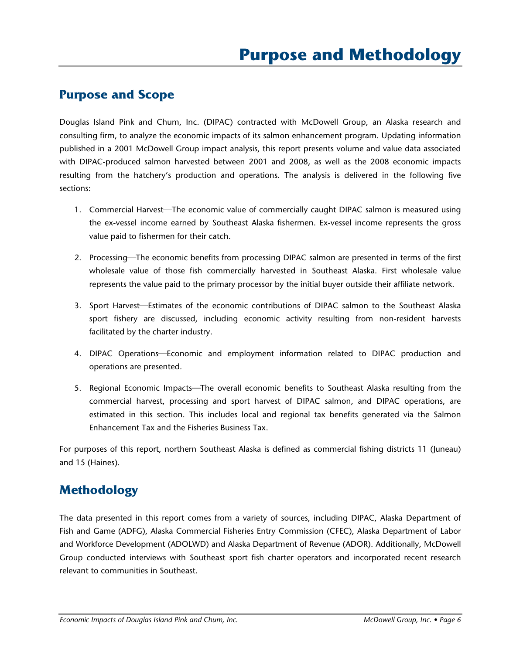### **Purpose and Scope**

Douglas Island Pink and Chum, Inc. (DIPAC) contracted with McDowell Group, an Alaska research and consulting firm, to analyze the economic impacts of its salmon enhancement program. Updating information published in a 2001 McDowell Group impact analysis, this report presents volume and value data associated with DIPAC-produced salmon harvested between 2001 and 2008, as well as the 2008 economic impacts resulting from the hatchery's production and operations. The analysis is delivered in the following five sections:

- 1. Commercial Harvest—The economic value of commercially caught DIPAC salmon is measured using the ex-vessel income earned by Southeast Alaska fishermen. Ex-vessel income represents the gross value paid to fishermen for their catch.
- 2. Processing—The economic benefits from processing DIPAC salmon are presented in terms of the first wholesale value of those fish commercially harvested in Southeast Alaska. First wholesale value represents the value paid to the primary processor by the initial buyer outside their affiliate network.
- 3. Sport Harvest—Estimates of the economic contributions of DIPAC salmon to the Southeast Alaska sport fishery are discussed, including economic activity resulting from non-resident harvests facilitated by the charter industry.
- 4. DIPAC Operations—Economic and employment information related to DIPAC production and operations are presented.
- 5. Regional Economic Impacts—The overall economic benefits to Southeast Alaska resulting from the commercial harvest, processing and sport harvest of DIPAC salmon, and DIPAC operations, are estimated in this section. This includes local and regional tax benefits generated via the Salmon Enhancement Tax and the Fisheries Business Tax.

For purposes of this report, northern Southeast Alaska is defined as commercial fishing districts 11 (Juneau) and 15 (Haines).

## **Methodology**

The data presented in this report comes from a variety of sources, including DIPAC, Alaska Department of Fish and Game (ADFG), Alaska Commercial Fisheries Entry Commission (CFEC), Alaska Department of Labor and Workforce Development (ADOLWD) and Alaska Department of Revenue (ADOR). Additionally, McDowell Group conducted interviews with Southeast sport fish charter operators and incorporated recent research relevant to communities in Southeast.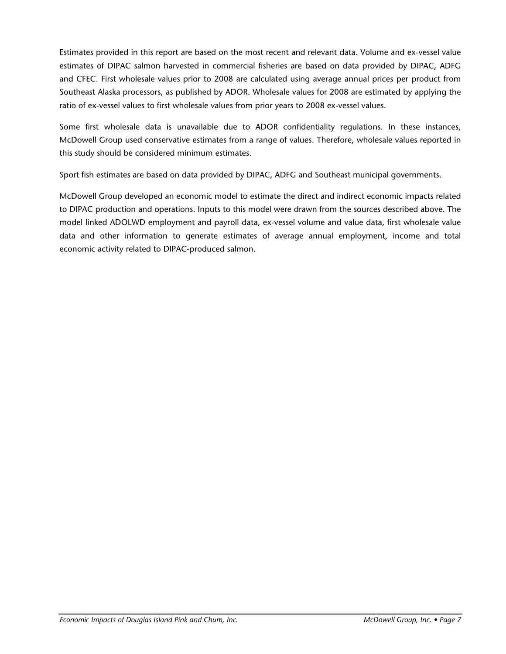Estimates provided in this report are based on the most recent and relevant data. Volume and ex-vessel value estimates of DIPAC salmon harvested in commercial fisheries are based on data provided by DIPAC, ADFG and CFEC. First wholesale values prior to 2008 are calculated using average annual prices per product from Southeast Alaska processors, as published by ADOR. Wholesale values for 2008 are estimated by applying the ratio of ex-vessel values to first wholesale values from prior years to 2008 ex-vessel values.

Some first wholesale data is unavailable due to ADOR confidentiality regulations. In these instances, McDowell Group used conservative estimates from a range of values. Therefore, wholesale values reported in this study should be considered minimum estimates.

Sport fish estimates are based on data provided by DIPAC, ADFG and Southeast municipal governments.

McDowell Group developed an economic model to estimate the direct and indirect economic impacts related to DIPAC production and operations. Inputs to this model were drawn from the sources described above. The model linked ADOLWD employment and payroll data, ex-vessel volume and value data, first wholesale value data and other information to generate estimates of average annual employment, income and total economic activity related to DIPAC-produced salmon.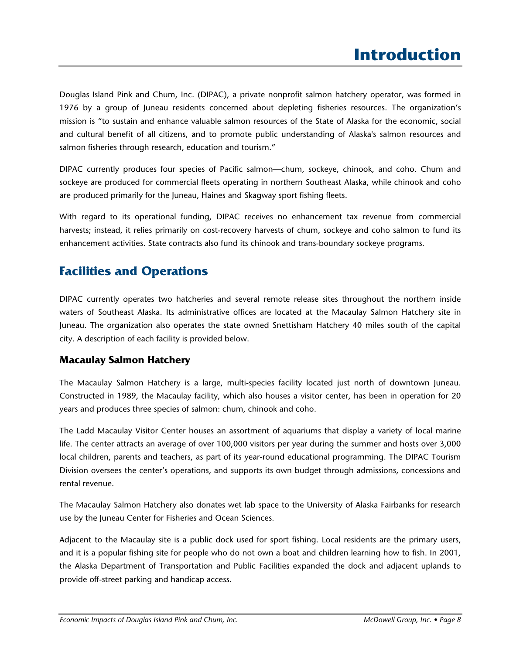Douglas Island Pink and Chum, Inc. (DIPAC), a private nonprofit salmon hatchery operator, was formed in 1976 by a group of Juneau residents concerned about depleting fisheries resources. The organization's mission is "to sustain and enhance valuable salmon resources of the State of Alaska for the economic, social and cultural benefit of all citizens, and to promote public understanding of Alaska's salmon resources and salmon fisheries through research, education and tourism."

DIPAC currently produces four species of Pacific salmon-chum, sockeye, chinook, and coho. Chum and sockeye are produced for commercial fleets operating in northern Southeast Alaska, while chinook and coho are produced primarily for the Juneau, Haines and Skagway sport fishing fleets.

With regard to its operational funding, DIPAC receives no enhancement tax revenue from commercial harvests; instead, it relies primarily on cost-recovery harvests of chum, sockeye and coho salmon to fund its enhancement activities. State contracts also fund its chinook and trans-boundary sockeye programs.

## **Facilities and Operations**

DIPAC currently operates two hatcheries and several remote release sites throughout the northern inside waters of Southeast Alaska. Its administrative offices are located at the Macaulay Salmon Hatchery site in Juneau. The organization also operates the state owned Snettisham Hatchery 40 miles south of the capital city. A description of each facility is provided below.

### **Macaulay Salmon Hatchery**

The Macaulay Salmon Hatchery is a large, multi-species facility located just north of downtown Juneau. Constructed in 1989, the Macaulay facility, which also houses a visitor center, has been in operation for 20 years and produces three species of salmon: chum, chinook and coho.

The Ladd Macaulay Visitor Center houses an assortment of aquariums that display a variety of local marine life. The center attracts an average of over 100,000 visitors per year during the summer and hosts over 3,000 local children, parents and teachers, as part of its year-round educational programming. The DIPAC Tourism Division oversees the center's operations, and supports its own budget through admissions, concessions and rental revenue.

The Macaulay Salmon Hatchery also donates wet lab space to the University of Alaska Fairbanks for research use by the Juneau Center for Fisheries and Ocean Sciences.

Adjacent to the Macaulay site is a public dock used for sport fishing. Local residents are the primary users, and it is a popular fishing site for people who do not own a boat and children learning how to fish. In 2001, the Alaska Department of Transportation and Public Facilities expanded the dock and adjacent uplands to provide off-street parking and handicap access.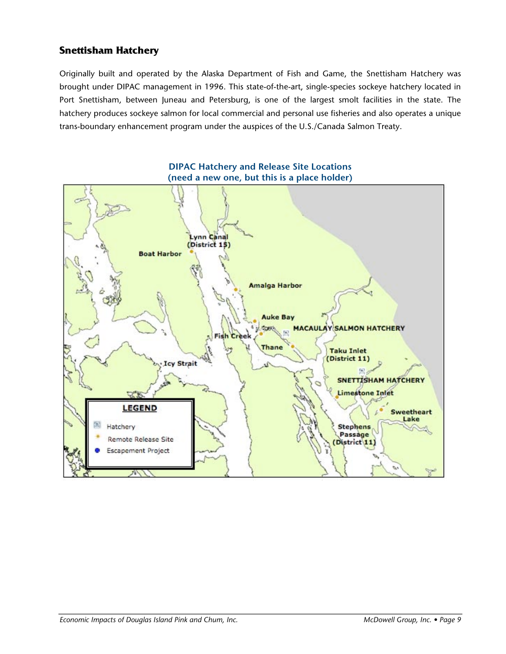### **Snettisham Hatchery**

Originally built and operated by the Alaska Department of Fish and Game, the Snettisham Hatchery was brought under DIPAC management in 1996. This state-of-the-art, single-species sockeye hatchery located in Port Snettisham, between Juneau and Petersburg, is one of the largest smolt facilities in the state. The hatchery produces sockeye salmon for local commercial and personal use fisheries and also operates a unique trans-boundary enhancement program under the auspices of the U.S./Canada Salmon Treaty.

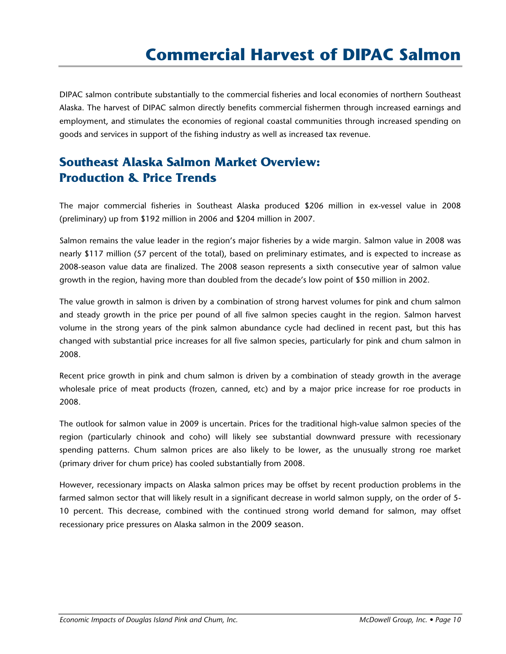DIPAC salmon contribute substantially to the commercial fisheries and local economies of northern Southeast Alaska. The harvest of DIPAC salmon directly benefits commercial fishermen through increased earnings and employment, and stimulates the economies of regional coastal communities through increased spending on goods and services in support of the fishing industry as well as increased tax revenue.

# **Southeast Alaska Salmon Market Overview: Production & Price Trends**

The major commercial fisheries in Southeast Alaska produced \$206 million in ex-vessel value in 2008 (preliminary) up from \$192 million in 2006 and \$204 million in 2007.

Salmon remains the value leader in the region's major fisheries by a wide margin. Salmon value in 2008 was nearly \$117 million (57 percent of the total), based on preliminary estimates, and is expected to increase as 2008-season value data are finalized. The 2008 season represents a sixth consecutive year of salmon value growth in the region, having more than doubled from the decade's low point of \$50 million in 2002.

The value growth in salmon is driven by a combination of strong harvest volumes for pink and chum salmon and steady growth in the price per pound of all five salmon species caught in the region. Salmon harvest volume in the strong years of the pink salmon abundance cycle had declined in recent past, but this has changed with substantial price increases for all five salmon species, particularly for pink and chum salmon in 2008.

Recent price growth in pink and chum salmon is driven by a combination of steady growth in the average wholesale price of meat products (frozen, canned, etc) and by a major price increase for roe products in 2008.

The outlook for salmon value in 2009 is uncertain. Prices for the traditional high-value salmon species of the region (particularly chinook and coho) will likely see substantial downward pressure with recessionary spending patterns. Chum salmon prices are also likely to be lower, as the unusually strong roe market (primary driver for chum price) has cooled substantially from 2008.

However, recessionary impacts on Alaska salmon prices may be offset by recent production problems in the farmed salmon sector that will likely result in a significant decrease in world salmon supply, on the order of 5- 10 percent. This decrease, combined with the continued strong world demand for salmon, may offset recessionary price pressures on Alaska salmon in the 2009 season.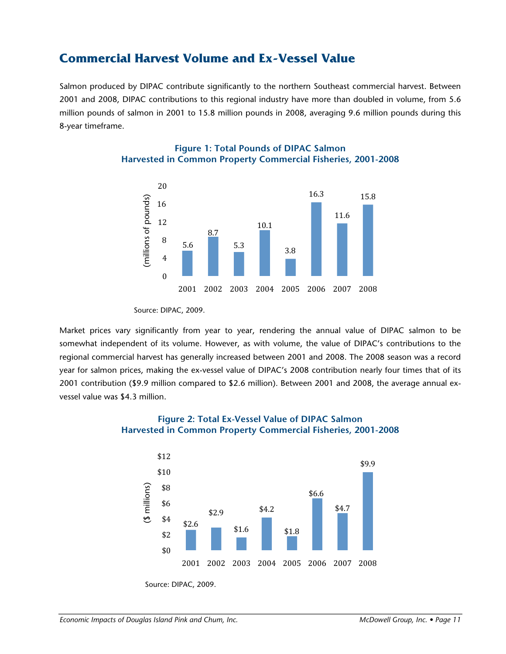### **Commercial Harvest Volume and Ex-Vessel Value**

Salmon produced by DIPAC contribute significantly to the northern Southeast commercial harvest. Between 2001 and 2008, DIPAC contributions to this regional industry have more than doubled in volume, from 5.6 million pounds of salmon in 2001 to 15.8 million pounds in 2008, averaging 9.6 million pounds during this 8-year timeframe.



#### **Figure 1: Total Pounds of DIPAC Salmon Harvested in Common Property Commercial Fisheries, 2001-2008**

Market prices vary significantly from year to year, rendering the annual value of DIPAC salmon to be somewhat independent of its volume. However, as with volume, the value of DIPAC's contributions to the regional commercial harvest has generally increased between 2001 and 2008. The 2008 season was a record year for salmon prices, making the ex-vessel value of DIPAC's 2008 contribution nearly four times that of its 2001 contribution (\$9.9 million compared to \$2.6 million). Between 2001 and 2008, the average annual exvessel value was \$4.3 million.



#### **Figure 2: Total Ex-Vessel Value of DIPAC Salmon Harvested in Common Property Commercial Fisheries, 2001-2008**

Source: DIPAC, 2009.

Source: DIPAC, 2009.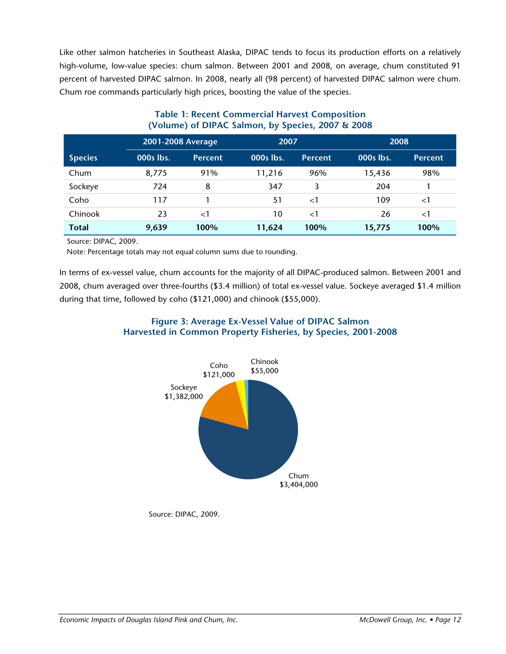Like other salmon hatcheries in Southeast Alaska, DIPAC tends to focus its production efforts on a relatively high-volume, low-value species: chum salmon. Between 2001 and 2008, on average, chum constituted 91 percent of harvested DIPAC salmon. In 2008, nearly all (98 percent) of harvested DIPAC salmon were chum. Chum roe commands particularly high prices, boosting the value of the species.

|                |           | 2001-2008 Average |           | 2007           |           | 2008           |
|----------------|-----------|-------------------|-----------|----------------|-----------|----------------|
| <b>Species</b> | 000s lbs. | <b>Percent</b>    | 000s lbs. | <b>Percent</b> | 000s lbs. | <b>Percent</b> |
| Chum           | 8,775     | 91%               | 11,216    | 96%            | 15,436    | 98%            |
| Sockeye        | 724       | 8                 | 347       | 3              | 204       |                |
| Coho           | 117       |                   | 51        | $\leq$ 1       | 109       | $\leq$ 1       |
| Chinook        | 23        | $<$ 1             | 10        | $\leq$ 1       | 26        | ${<}1$         |
| <b>Total</b>   | 9,639     | 100%              | 11,624    | 100%           | 15,775    | 100%           |

#### **Table 1: Recent Commercial Harvest Composition (Volume) of DIPAC Salmon, by Species, 2007 & 2008**

Source: DIPAC, 2009.

Note: Percentage totals may not equal column sums due to rounding.

In terms of ex-vessel value, chum accounts for the majority of all DIPAC-produced salmon. Between 2001 and 2008, chum averaged over three-fourths (\$3.4 million) of total ex-vessel value. Sockeye averaged \$1.4 million during that time, followed by coho (\$121,000) and chinook (\$55,000).

#### **Figure 3: Average Ex-Vessel Value of DIPAC Salmon Harvested in Common Property Fisheries, by Species, 2001-2008**



Source: DIPAC, 2009.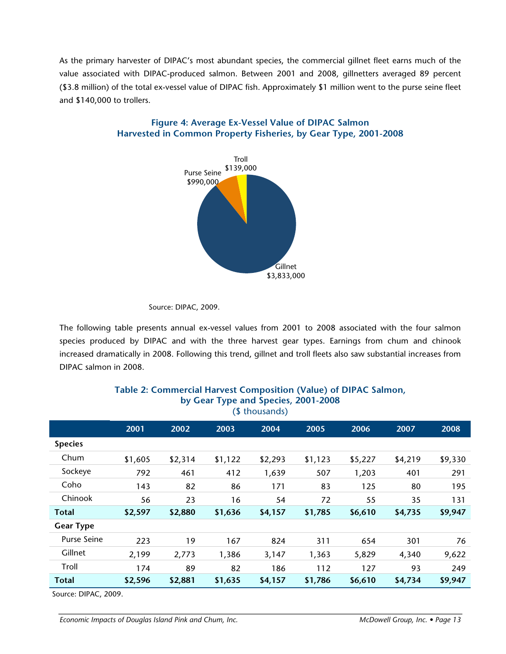As the primary harvester of DIPAC's most abundant species, the commercial gillnet fleet earns much of the value associated with DIPAC-produced salmon. Between 2001 and 2008, gillnetters averaged 89 percent (\$3.8 million) of the total ex-vessel value of DIPAC fish. Approximately \$1 million went to the purse seine fleet and \$140,000 to trollers.



#### **Figure 4: Average Ex-Vessel Value of DIPAC Salmon Harvested in Common Property Fisheries, by Gear Type, 2001-2008**

The following table presents annual ex-vessel values from 2001 to 2008 associated with the four salmon species produced by DIPAC and with the three harvest gear types. Earnings from chum and chinook increased dramatically in 2008. Following this trend, gillnet and troll fleets also saw substantial increases from DIPAC salmon in 2008.

| (\$ thousands)   |         |         |         |         |         |         |         |         |
|------------------|---------|---------|---------|---------|---------|---------|---------|---------|
|                  | 2001    | 2002    | 2003    | 2004    | 2005    | 2006    | 2007    | 2008    |
| <b>Species</b>   |         |         |         |         |         |         |         |         |
| Chum             | \$1,605 | \$2,314 | \$1,122 | \$2,293 | \$1,123 | \$5,227 | \$4,219 | \$9,330 |
| Sockeye          | 792     | 461     | 412     | 1,639   | 507     | 1,203   | 401     | 291     |
| Coho             | 143     | 82      | 86      | 171     | 83      | 125     | 80      | 195     |
| Chinook          | 56      | 23      | 16      | 54      | 72      | 55      | 35      | 131     |
| <b>Total</b>     | \$2,597 | \$2,880 | \$1,636 | \$4,157 | \$1,785 | \$6,610 | \$4,735 | \$9,947 |
| <b>Gear Type</b> |         |         |         |         |         |         |         |         |
| Purse Seine      | 223     | 19      | 167     | 824     | 311     | 654     | 301     | 76      |
| Gillnet          | 2,199   | 2,773   | 1,386   | 3,147   | 1,363   | 5,829   | 4,340   | 9,622   |
| Troll            | 174     | 89      | 82      | 186     | 112     | 127     | 93      | 249     |
| <b>Total</b>     | \$2,596 | \$2,881 | \$1,635 | \$4,157 | \$1,786 | \$6,610 | \$4,734 | \$9,947 |
|                  |         |         |         |         |         |         |         |         |

### **Table 2: Commercial Harvest Composition (Value) of DIPAC Salmon, by Gear Type and Species, 2001-2008**

Source: DIPAC, 2009.

Source: DIPAC, 2009.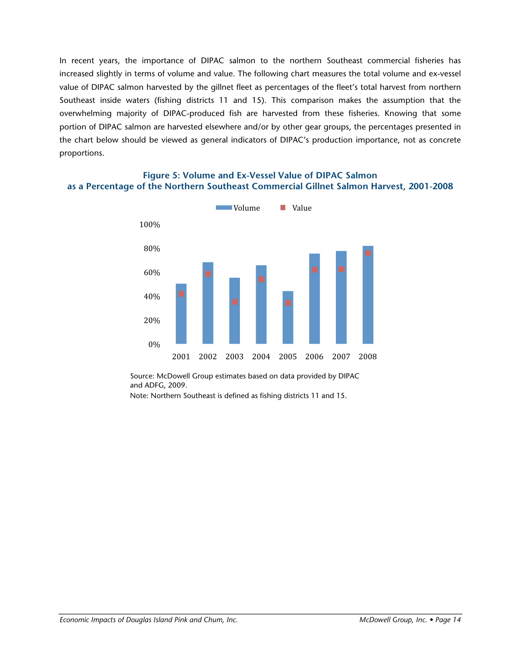In recent years, the importance of DIPAC salmon to the northern Southeast commercial fisheries has increased slightly in terms of volume and value. The following chart measures the total volume and ex-vessel value of DIPAC salmon harvested by the gillnet fleet as percentages of the fleet's total harvest from northern Southeast inside waters (fishing districts 11 and 15). This comparison makes the assumption that the overwhelming majority of DIPAC-produced fish are harvested from these fisheries. Knowing that some portion of DIPAC salmon are harvested elsewhere and/or by other gear groups, the percentages presented in the chart below should be viewed as general indicators of DIPAC's production importance, not as concrete proportions.



#### **Figure 5: Volume and Ex-Vessel Value of DIPAC Salmon as a Percentage of the Northern Southeast Commercial Gillnet Salmon Harvest, 2001-2008**

Source: McDowell Group estimates based on data provided by DIPAC and ADFG, 2009.

Note: Northern Southeast is defined as fishing districts 11 and 15.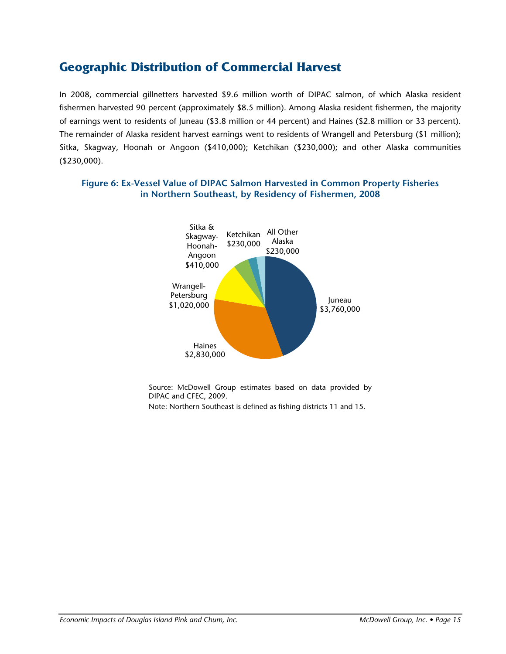## **Geographic Distribution of Commercial Harvest**

In 2008, commercial gillnetters harvested \$9.6 million worth of DIPAC salmon, of which Alaska resident fishermen harvested 90 percent (approximately \$8.5 million). Among Alaska resident fishermen, the majority of earnings went to residents of Juneau (\$3.8 million or 44 percent) and Haines (\$2.8 million or 33 percent). The remainder of Alaska resident harvest earnings went to residents of Wrangell and Petersburg (\$1 million); Sitka, Skagway, Hoonah or Angoon (\$410,000); Ketchikan (\$230,000); and other Alaska communities (\$230,000).

#### **Figure 6: Ex-Vessel Value of DIPAC Salmon Harvested in Common Property Fisheries in Northern Southeast, by Residency of Fishermen, 2008**



Source: McDowell Group estimates based on data provided by DIPAC and CFEC, 2009.

Note: Northern Southeast is defined as fishing districts 11 and 15.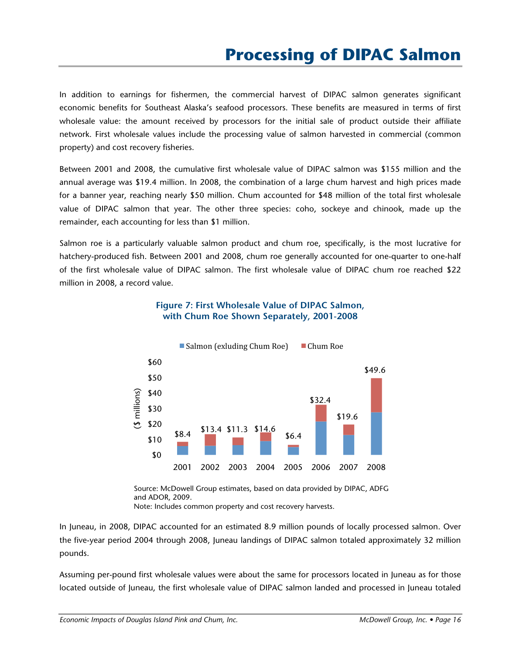In addition to earnings for fishermen, the commercial harvest of DIPAC salmon generates significant economic benefits for Southeast Alaska's seafood processors. These benefits are measured in terms of first wholesale value: the amount received by processors for the initial sale of product outside their affiliate network. First wholesale values include the processing value of salmon harvested in commercial (common property) and cost recovery fisheries.

Between 2001 and 2008, the cumulative first wholesale value of DIPAC salmon was \$155 million and the annual average was \$19.4 million. In 2008, the combination of a large chum harvest and high prices made for a banner year, reaching nearly \$50 million. Chum accounted for \$48 million of the total first wholesale value of DIPAC salmon that year. The other three species: coho, sockeye and chinook, made up the remainder, each accounting for less than \$1 million.

Salmon roe is a particularly valuable salmon product and chum roe, specifically, is the most lucrative for hatchery-produced fish. Between 2001 and 2008, chum roe generally accounted for one-quarter to one-half of the first wholesale value of DIPAC salmon. The first wholesale value of DIPAC chum roe reached \$22 million in 2008, a record value.



#### **Figure 7: First Wholesale Value of DIPAC Salmon, with Chum Roe Shown Separately, 2001-2008**

Source: McDowell Group estimates, based on data provided by DIPAC, ADFG and ADOR, 2009. Note: Includes common property and cost recovery harvests.

In Juneau, in 2008, DIPAC accounted for an estimated 8.9 million pounds of locally processed salmon. Over the five-year period 2004 through 2008, Juneau landings of DIPAC salmon totaled approximately 32 million pounds.

Assuming per-pound first wholesale values were about the same for processors located in Juneau as for those located outside of Juneau, the first wholesale value of DIPAC salmon landed and processed in Juneau totaled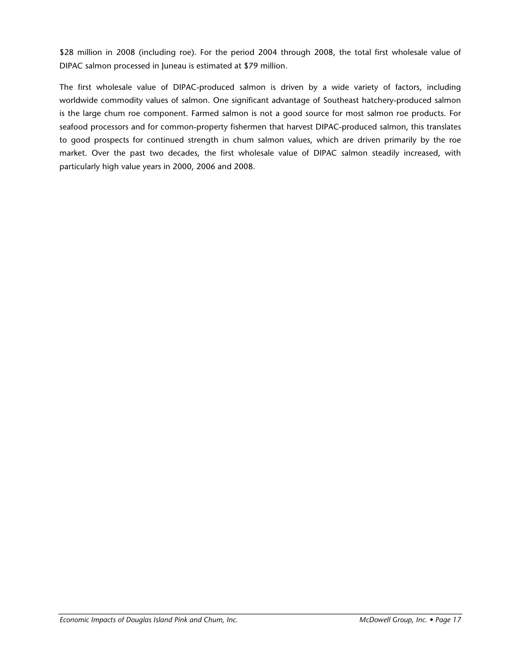\$28 million in 2008 (including roe). For the period 2004 through 2008, the total first wholesale value of DIPAC salmon processed in Juneau is estimated at \$79 million.

The first wholesale value of DIPAC-produced salmon is driven by a wide variety of factors, including worldwide commodity values of salmon. One significant advantage of Southeast hatchery-produced salmon is the large chum roe component. Farmed salmon is not a good source for most salmon roe products. For seafood processors and for common-property fishermen that harvest DIPAC-produced salmon, this translates to good prospects for continued strength in chum salmon values, which are driven primarily by the roe market. Over the past two decades, the first wholesale value of DIPAC salmon steadily increased, with particularly high value years in 2000, 2006 and 2008.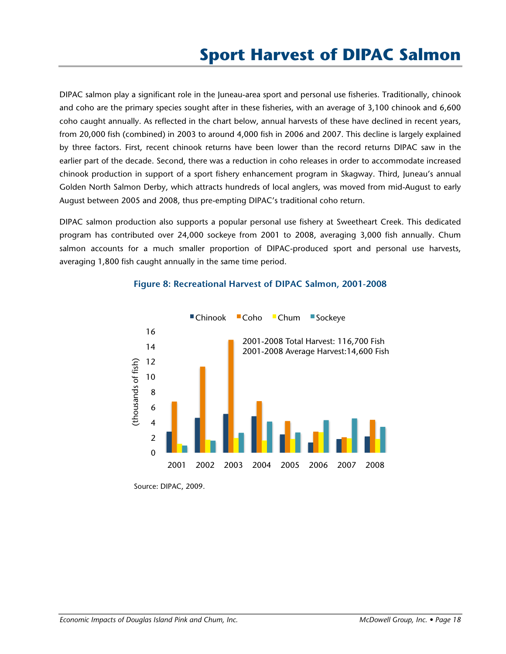DIPAC salmon play a significant role in the Juneau-area sport and personal use fisheries. Traditionally, chinook and coho are the primary species sought after in these fisheries, with an average of 3,100 chinook and 6,600 coho caught annually. As reflected in the chart below, annual harvests of these have declined in recent years, from 20,000 fish (combined) in 2003 to around 4,000 fish in 2006 and 2007. This decline is largely explained by three factors. First, recent chinook returns have been lower than the record returns DIPAC saw in the earlier part of the decade. Second, there was a reduction in coho releases in order to accommodate increased chinook production in support of a sport fishery enhancement program in Skagway. Third, Juneau's annual Golden North Salmon Derby, which attracts hundreds of local anglers, was moved from mid-August to early August between 2005 and 2008, thus pre-empting DIPAC's traditional coho return.

DIPAC salmon production also supports a popular personal use fishery at Sweetheart Creek. This dedicated program has contributed over 24,000 sockeye from 2001 to 2008, averaging 3,000 fish annually. Chum salmon accounts for a much smaller proportion of DIPAC-produced sport and personal use harvests, averaging 1,800 fish caught annually in the same time period.



#### **Figure 8: Recreational Harvest of DIPAC Salmon, 2001-2008**

Source: DIPAC, 2009.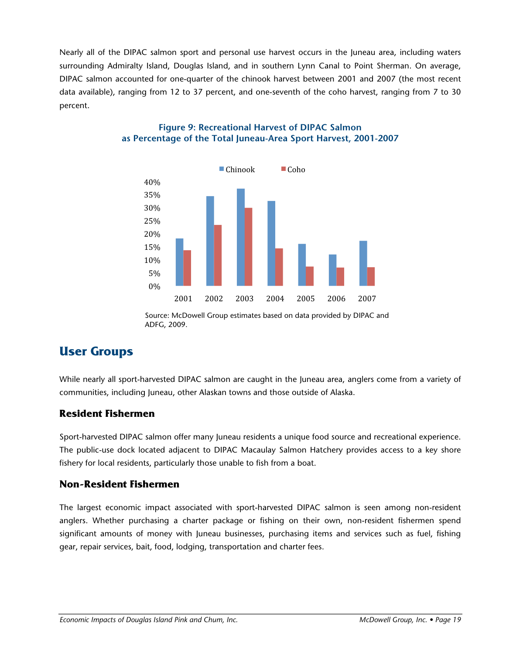Nearly all of the DIPAC salmon sport and personal use harvest occurs in the Juneau area, including waters surrounding Admiralty Island, Douglas Island, and in southern Lynn Canal to Point Sherman. On average, DIPAC salmon accounted for one-quarter of the chinook harvest between 2001 and 2007 (the most recent data available), ranging from 12 to 37 percent, and one-seventh of the coho harvest, ranging from 7 to 30 percent.



#### **Figure 9: Recreational Harvest of DIPAC Salmon as Percentage of the Total Juneau-Area Sport Harvest, 2001-2007**

Source: McDowell Group estimates based on data provided by DIPAC and ADFG, 2009.

# **User Groups**

While nearly all sport-harvested DIPAC salmon are caught in the Juneau area, anglers come from a variety of communities, including Juneau, other Alaskan towns and those outside of Alaska.

### **Resident Fishermen**

Sport-harvested DIPAC salmon offer many Juneau residents a unique food source and recreational experience. The public-use dock located adjacent to DIPAC Macaulay Salmon Hatchery provides access to a key shore fishery for local residents, particularly those unable to fish from a boat.

### **Non-Resident Fishermen**

The largest economic impact associated with sport-harvested DIPAC salmon is seen among non-resident anglers. Whether purchasing a charter package or fishing on their own, non-resident fishermen spend significant amounts of money with Juneau businesses, purchasing items and services such as fuel, fishing gear, repair services, bait, food, lodging, transportation and charter fees.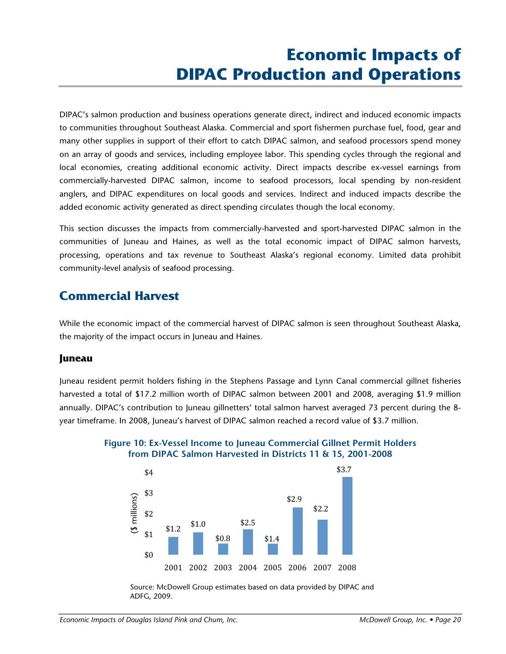# **Economic Impacts of DIPAC Production and Operations**

DIPAC's salmon production and business operations generate direct, indirect and induced economic impacts to communities throughout Southeast Alaska. Commercial and sport fishermen purchase fuel, food, gear and many other supplies in support of their effort to catch DIPAC salmon, and seafood processors spend money on an array of goods and services, including employee labor. This spending cycles through the regional and local economies, creating additional economic activity. Direct impacts describe ex-vessel earnings from commercially-harvested DIPAC salmon, income to seafood processors, local spending by non-resident anglers, and DIPAC expenditures on local goods and services. Indirect and induced impacts describe the added economic activity generated as direct spending circulates though the local economy.

This section discusses the impacts from commercially-harvested and sport-harvested DIPAC salmon in the communities of Juneau and Haines, as well as the total economic impact of DIPAC salmon harvests, processing, operations and tax revenue to Southeast Alaska's regional economy. Limited data prohibit community-level analysis of seafood processing.

### **Commercial Harvest**

While the economic impact of the commercial harvest of DIPAC salmon is seen throughout Southeast Alaska, the majority of the impact occurs in Juneau and Haines.

#### **Juneau**

Juneau resident permit holders fishing in the Stephens Passage and Lynn Canal commercial gillnet fisheries harvested a total of \$17.2 million worth of DIPAC salmon between 2001 and 2008, averaging \$1.9 million annually. DIPAC's contribution to Juneau gillnetters' total salmon harvest averaged 73 percent during the 8 year timeframe. In 2008, Juneau's harvest of DIPAC salmon reached a record value of \$3.7 million.



**Figure 10: Ex-Vessel Income to Juneau Commercial Gillnet Permit Holders from DIPAC Salmon Harvested in Districts 11 & 15, 2001-2008**

Source: McDowell Group estimates based on data provided by DIPAC and ADFG, 2009.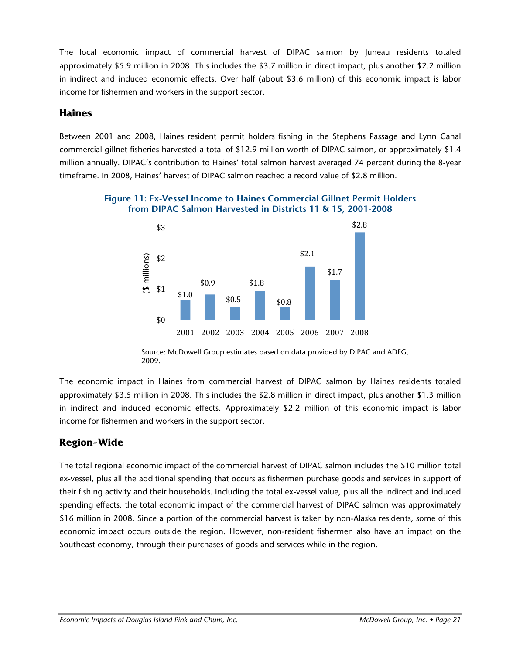The local economic impact of commercial harvest of DIPAC salmon by Juneau residents totaled approximately \$5.9 million in 2008. This includes the \$3.7 million in direct impact, plus another \$2.2 million in indirect and induced economic effects. Over half (about \$3.6 million) of this economic impact is labor income for fishermen and workers in the support sector.

### **Haines**

Between 2001 and 2008, Haines resident permit holders fishing in the Stephens Passage and Lynn Canal commercial gillnet fisheries harvested a total of \$12.9 million worth of DIPAC salmon, or approximately \$1.4 million annually. DIPAC's contribution to Haines' total salmon harvest averaged 74 percent during the 8-year timeframe. In 2008, Haines' harvest of DIPAC salmon reached a record value of \$2.8 million.



### **Figure 11: Ex-Vessel Income to Haines Commercial Gillnet Permit Holders from DIPAC Salmon Harvested in Districts 11 & 15, 2001-2008**

Source: McDowell Group estimates based on data provided by DIPAC and ADFG, 2009.

The economic impact in Haines from commercial harvest of DIPAC salmon by Haines residents totaled approximately \$3.5 million in 2008. This includes the \$2.8 million in direct impact, plus another \$1.3 million in indirect and induced economic effects. Approximately \$2.2 million of this economic impact is labor income for fishermen and workers in the support sector.

### **Region-Wide**

The total regional economic impact of the commercial harvest of DIPAC salmon includes the \$10 million total ex-vessel, plus all the additional spending that occurs as fishermen purchase goods and services in support of their fishing activity and their households. Including the total ex-vessel value, plus all the indirect and induced spending effects, the total economic impact of the commercial harvest of DIPAC salmon was approximately \$16 million in 2008. Since a portion of the commercial harvest is taken by non-Alaska residents, some of this economic impact occurs outside the region. However, non-resident fishermen also have an impact on the Southeast economy, through their purchases of goods and services while in the region.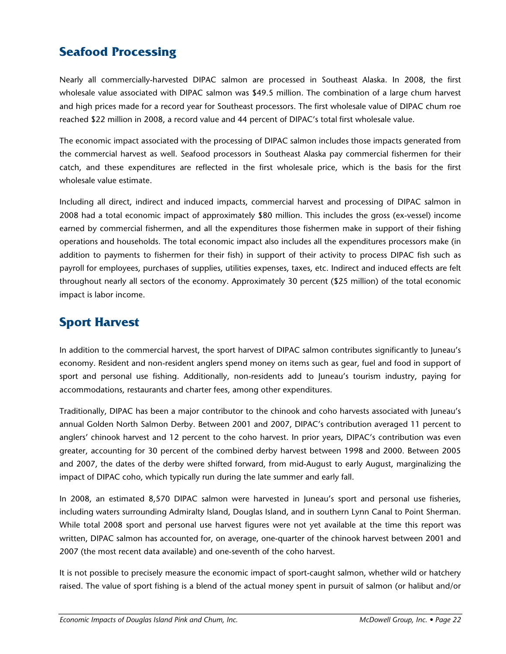# **Seafood Processing**

Nearly all commercially-harvested DIPAC salmon are processed in Southeast Alaska. In 2008, the first wholesale value associated with DIPAC salmon was \$49.5 million. The combination of a large chum harvest and high prices made for a record year for Southeast processors. The first wholesale value of DIPAC chum roe reached \$22 million in 2008, a record value and 44 percent of DIPAC's total first wholesale value.

The economic impact associated with the processing of DIPAC salmon includes those impacts generated from the commercial harvest as well. Seafood processors in Southeast Alaska pay commercial fishermen for their catch, and these expenditures are reflected in the first wholesale price, which is the basis for the first wholesale value estimate.

Including all direct, indirect and induced impacts, commercial harvest and processing of DIPAC salmon in 2008 had a total economic impact of approximately \$80 million. This includes the gross (ex-vessel) income earned by commercial fishermen, and all the expenditures those fishermen make in support of their fishing operations and households. The total economic impact also includes all the expenditures processors make (in addition to payments to fishermen for their fish) in support of their activity to process DIPAC fish such as payroll for employees, purchases of supplies, utilities expenses, taxes, etc. Indirect and induced effects are felt throughout nearly all sectors of the economy. Approximately 30 percent (\$25 million) of the total economic impact is labor income.

# **Sport Harvest**

In addition to the commercial harvest, the sport harvest of DIPAC salmon contributes significantly to Juneau's economy. Resident and non-resident anglers spend money on items such as gear, fuel and food in support of sport and personal use fishing. Additionally, non-residents add to Juneau's tourism industry, paying for accommodations, restaurants and charter fees, among other expenditures.

Traditionally, DIPAC has been a major contributor to the chinook and coho harvests associated with Juneau's annual Golden North Salmon Derby. Between 2001 and 2007, DIPAC's contribution averaged 11 percent to anglers' chinook harvest and 12 percent to the coho harvest. In prior years, DIPAC's contribution was even greater, accounting for 30 percent of the combined derby harvest between 1998 and 2000. Between 2005 and 2007, the dates of the derby were shifted forward, from mid-August to early August, marginalizing the impact of DIPAC coho, which typically run during the late summer and early fall.

In 2008, an estimated 8,570 DIPAC salmon were harvested in Juneau's sport and personal use fisheries, including waters surrounding Admiralty Island, Douglas Island, and in southern Lynn Canal to Point Sherman. While total 2008 sport and personal use harvest figures were not yet available at the time this report was written, DIPAC salmon has accounted for, on average, one-quarter of the chinook harvest between 2001 and 2007 (the most recent data available) and one-seventh of the coho harvest.

It is not possible to precisely measure the economic impact of sport-caught salmon, whether wild or hatchery raised. The value of sport fishing is a blend of the actual money spent in pursuit of salmon (or halibut and/or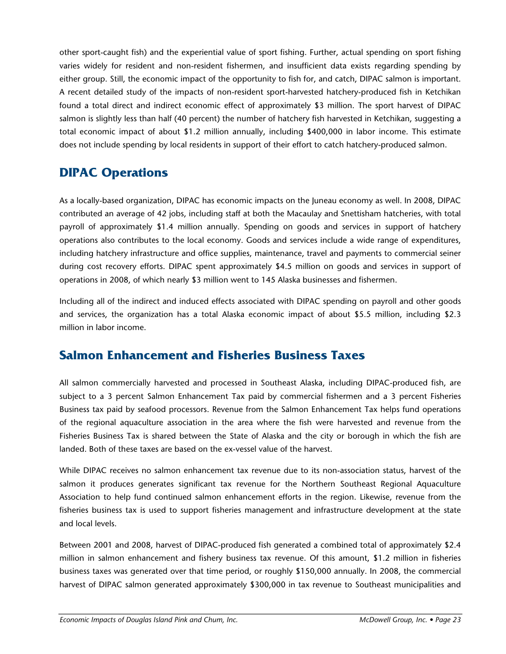other sport-caught fish) and the experiential value of sport fishing. Further, actual spending on sport fishing varies widely for resident and non-resident fishermen, and insufficient data exists regarding spending by either group. Still, the economic impact of the opportunity to fish for, and catch, DIPAC salmon is important. A recent detailed study of the impacts of non-resident sport-harvested hatchery-produced fish in Ketchikan found a total direct and indirect economic effect of approximately \$3 million. The sport harvest of DIPAC salmon is slightly less than half (40 percent) the number of hatchery fish harvested in Ketchikan, suggesting a total economic impact of about \$1.2 million annually, including \$400,000 in labor income. This estimate does not include spending by local residents in support of their effort to catch hatchery-produced salmon.

# **DIPAC Operations**

As a locally-based organization, DIPAC has economic impacts on the Juneau economy as well. In 2008, DIPAC contributed an average of 42 jobs, including staff at both the Macaulay and Snettisham hatcheries, with total payroll of approximately \$1.4 million annually. Spending on goods and services in support of hatchery operations also contributes to the local economy. Goods and services include a wide range of expenditures, including hatchery infrastructure and office supplies, maintenance, travel and payments to commercial seiner during cost recovery efforts. DIPAC spent approximately \$4.5 million on goods and services in support of operations in 2008, of which nearly \$3 million went to 145 Alaska businesses and fishermen.

Including all of the indirect and induced effects associated with DIPAC spending on payroll and other goods and services, the organization has a total Alaska economic impact of about \$5.5 million, including \$2.3 million in labor income.

### **Salmon Enhancement and Fisheries Business Taxes**

All salmon commercially harvested and processed in Southeast Alaska, including DIPAC-produced fish, are subject to a 3 percent Salmon Enhancement Tax paid by commercial fishermen and a 3 percent Fisheries Business tax paid by seafood processors. Revenue from the Salmon Enhancement Tax helps fund operations of the regional aquaculture association in the area where the fish were harvested and revenue from the Fisheries Business Tax is shared between the State of Alaska and the city or borough in which the fish are landed. Both of these taxes are based on the ex-vessel value of the harvest.

While DIPAC receives no salmon enhancement tax revenue due to its non-association status, harvest of the salmon it produces generates significant tax revenue for the Northern Southeast Regional Aquaculture Association to help fund continued salmon enhancement efforts in the region. Likewise, revenue from the fisheries business tax is used to support fisheries management and infrastructure development at the state and local levels.

Between 2001 and 2008, harvest of DIPAC-produced fish generated a combined total of approximately \$2.4 million in salmon enhancement and fishery business tax revenue. Of this amount, \$1.2 million in fisheries business taxes was generated over that time period, or roughly \$150,000 annually. In 2008, the commercial harvest of DIPAC salmon generated approximately \$300,000 in tax revenue to Southeast municipalities and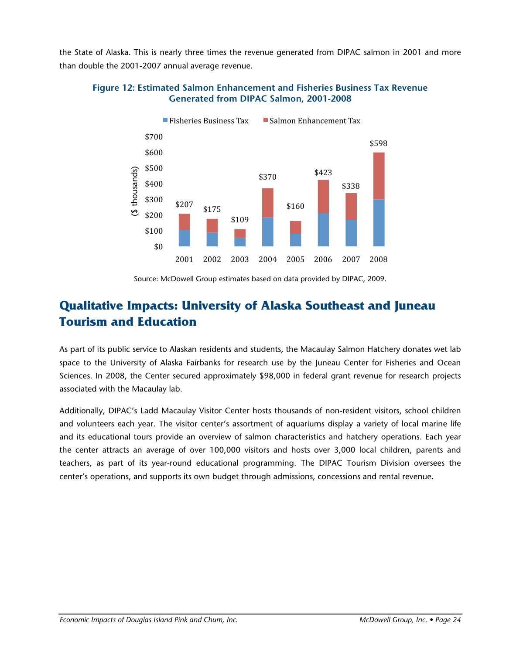the State of Alaska. This is nearly three times the revenue generated from DIPAC salmon in 2001 and more than double the 2001-2007 annual average revenue.

#### **Figure 12: Estimated Salmon Enhancement and Fisheries Business Tax Revenue Generated from DIPAC Salmon, 2001-2008**



Source: McDowell Group estimates based on data provided by DIPAC, 2009.

# **Qualitative Impacts: University of Alaska Southeast and Juneau Tourism and Education**

As part of its public service to Alaskan residents and students, the Macaulay Salmon Hatchery donates wet lab space to the University of Alaska Fairbanks for research use by the Juneau Center for Fisheries and Ocean Sciences. In 2008, the Center secured approximately \$98,000 in federal grant revenue for research projects associated with the Macaulay lab.

Additionally, DIPAC's Ladd Macaulay Visitor Center hosts thousands of non-resident visitors, school children and volunteers each year. The visitor center's assortment of aquariums display a variety of local marine life and its educational tours provide an overview of salmon characteristics and hatchery operations. Each year the center attracts an average of over 100,000 visitors and hosts over 3,000 local children, parents and teachers, as part of its year-round educational programming. The DIPAC Tourism Division oversees the center's operations, and supports its own budget through admissions, concessions and rental revenue.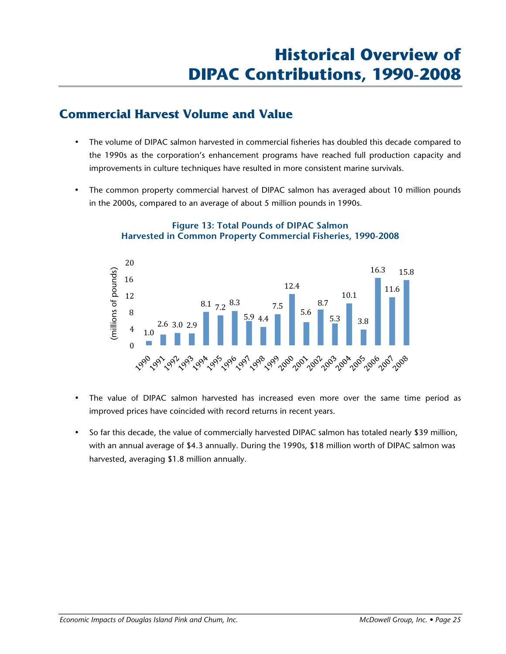### **Commercial Harvest Volume and Value**

- The volume of DIPAC salmon harvested in commercial fisheries has doubled this decade compared to the 1990s as the corporation's enhancement programs have reached full production capacity and improvements in culture techniques have resulted in more consistent marine survivals.
- The common property commercial harvest of DIPAC salmon has averaged about 10 million pounds in the 2000s, compared to an average of about 5 million pounds in 1990s.



### **Figure 13: Total Pounds of DIPAC Salmon Harvested in Common Property Commercial Fisheries, 1990-2008**

- The value of DIPAC salmon harvested has increased even more over the same time period as improved prices have coincided with record returns in recent years.
- So far this decade, the value of commercially harvested DIPAC salmon has totaled nearly \$39 million, with an annual average of \$4.3 annually. During the 1990s, \$18 million worth of DIPAC salmon was harvested, averaging \$1.8 million annually.